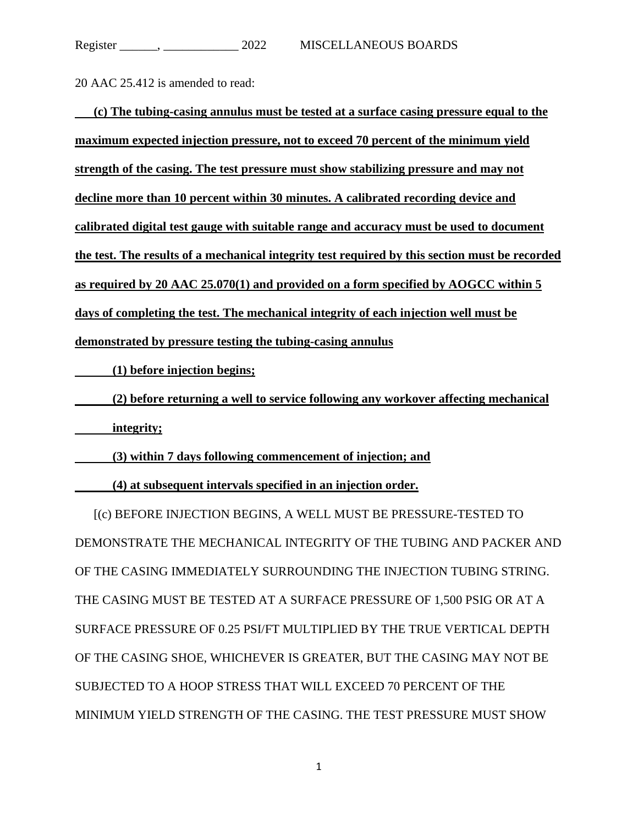20 AAC 25.412 is amended to read:

| (c) The tubing-casing annulus must be tested at a surface casing pressure equal to the         |
|------------------------------------------------------------------------------------------------|
| maximum expected injection pressure, not to exceed 70 percent of the minimum yield             |
| strength of the casing. The test pressure must show stabilizing pressure and may not           |
| decline more than 10 percent within 30 minutes. A calibrated recording device and              |
| calibrated digital test gauge with suitable range and accuracy must be used to document        |
| the test. The results of a mechanical integrity test required by this section must be recorded |
| as required by 20 AAC 25.070(1) and provided on a form specified by AOGCC within 5             |
| days of completing the test. The mechanical integrity of each injection well must be           |
| demonstrated by pressure testing the tubing-casing annulus                                     |

**(1) before injection begins;**

**(2) before returning a well to service following any workover affecting mechanical integrity;**

**(3) within 7 days following commencement of injection; and**

**(4) at subsequent intervals specified in an injection order.**

[(c) BEFORE INJECTION BEGINS, A WELL MUST BE PRESSURE-TESTED TO DEMONSTRATE THE MECHANICAL INTEGRITY OF THE TUBING AND PACKER AND OF THE CASING IMMEDIATELY SURROUNDING THE INJECTION TUBING STRING. THE CASING MUST BE TESTED AT A SURFACE PRESSURE OF 1,500 PSIG OR AT A SURFACE PRESSURE OF 0.25 PSI/FT MULTIPLIED BY THE TRUE VERTICAL DEPTH OF THE CASING SHOE, WHICHEVER IS GREATER, BUT THE CASING MAY NOT BE SUBJECTED TO A HOOP STRESS THAT WILL EXCEED 70 PERCENT OF THE MINIMUM YIELD STRENGTH OF THE CASING. THE TEST PRESSURE MUST SHOW